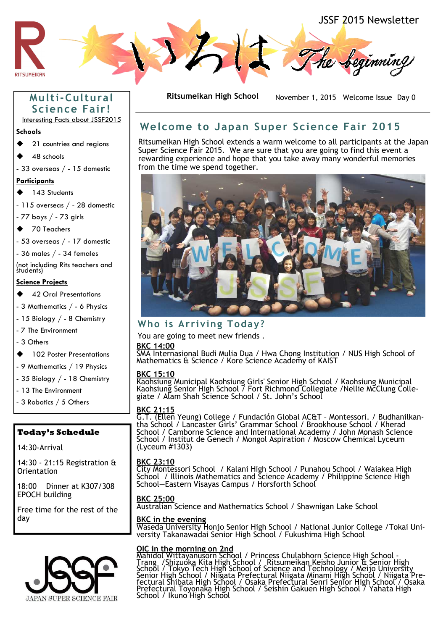

# **Multi-Cultural Science Fai r !**

Interesting Facts about JSSF2015

#### **Schools**

- ◆ 21 countries and regions
- 48 schools
- 33 overseas / 15 domestic

#### **Participants**

143 Students

- 115 overseas / - 28 domestic

- 77 boys / - 73 girls

◆ 70 Teachers

- 53 overseas / - 17 domestic

- 36 males / - 34 females

(not including Rits teachers and students)

#### **Science Projects**

- **42 Oral Presentations**
- 3 Mathematics / 6 Physics

- 15 Biology / - 8 Chemistry

- 7 The Environment

- 3 Others

- 102 Poster Presentations
- 9 Mathematics / 19 Physics
- 35 Biology / 18 Chemistry
- 13 The Environment
- 3 Robotics / 5 Others

### **Today's Schedule**

14:30-Arrival

14:30 - 21:15 Registration & **Orientation** 

18:00 Dinner at K307/308 EPOCH building

Free time for the rest of the day



**Ritsumeikan High School** November 1, 2015 Welcome Issue Day 0

# **Welcome to Japan Super Science Fai r 2015**

Ritsumeikan High School extends a warm welcome to all participants at the Japan Super Science Fair 2015. We are sure that you are going to find this event a rewarding experience and hope that you take away many wonderful memories from the time we spend together.



## **Who i s Ar r iving Today?**

You are going to meet new friends .

#### **BKC 14:00**

SMA Internasional Budi Mulia Dua / Hwa Chong Institution / NUS High School of Mathematics & Science / Kore Science Academy of KAIST

#### **BKC 15:10**

Kaohsiung Municipal Kaohsiung Girls' Senior High School / Kaohsiung Municipal Kaohsiung Senior High School 7 Fort Richmond Collegiate /Nellie McClung Collegiate / Alam Shah Science School / St. John's School

#### **BKC 21:15**

G.T. (Ellen Yeung) College / Fundaciόn Global AC&T – Montessori. / Budhanilkantha School / Lancaster Girls' Grammar School / Brookhouse School / Kherad School / Camborne Science and International Academy / John Monash Science School / Institut de Genech / Mongol Aspiration / Moscow Chemical Lyceum (Lyceum #1303)

#### **BKC 23:10**

City Montessori School / Kalani High School / Punahou School / Waiakea High School / Illinois Mathematics and Science Academy / Philippine Science High School—Eastern Visayas Campus / Horsforth School

#### **BKC 25:00**

Australian Science and Mathematics School / Shawnigan Lake School

#### **BKC in the evening**

Waseda University Honjo Senior High School / National Junior College /Tokai University Takanawadai Senior High School / Fukushima High School

#### **OIC in the morning on 2nd**

Mahidol Wittayanusorn School / Princess Chulabhorn Science High School - Trang /Shizuoka Kita High School / Ritsumeikan Keisho Junior & Senior High School / Tokyo Tech High School of Science and Technology / Meijo University Senior High School / Niigata Prefectural Niigata Minami High School / Niigata Prefectural Shibata High School / Osaka Prefectural Senri Senior High School / Osaka Prefectural Toyonaka High School / Seishin Gakuen High School / Yahata High School / Ikuno High School